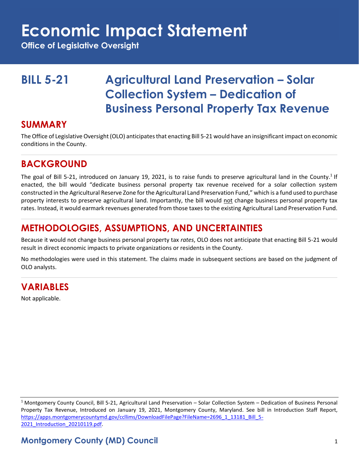# **Economic Impact Statement**

**Office of Legislative Oversight**

# **BILL 5-21 Agricultural Land Preservation – Solar Collection System – Dedication of Business Personal Property Tax Revenue**

#### **SUMMARY**

The Office of Legislative Oversight (OLO) anticipates that enacting Bill 5-21 would have an insignificant impact on economic conditions in the County.

## **BACKGROUND**

The goal of Bill 5-21, introduced on January 19, 2021, is to raise funds to preserve agricultural land in the County.<sup>1</sup> If enacted, the bill would "dedicate business personal property tax revenue received for a solar collection system constructed in the Agricultural Reserve Zone for the Agricultural Land Preservation Fund," which is a fund used to purchase property interests to preserve agricultural land. Importantly, the bill would not change business personal property tax rates. Instead, it would earmark revenues generated from those taxes to the existing Agricultural Land Preservation Fund.

### **METHODOLOGIES, ASSUMPTIONS, AND UNCERTAINTIES**

Because it would not change business personal property tax *rates*, OLO does not anticipate that enacting Bill 5-21 would result in direct economic impacts to private organizations or residents in the County.

No methodologies were used in this statement. The claims made in subsequent sections are based on the judgment of OLO analysts.

#### **VARIABLES**

Not applicable.

 $1$  Montgomery County Council, Bill 5-21, Agricultural Land Preservation – Solar Collection System – Dedication of Business Personal Property Tax Revenue, Introduced on January 19, 2021, Montgomery County, Maryland. See bill in Introduction Staff Report, [https://apps.montgomerycountymd.gov/ccllims/DownloadFilePage?FileName=2696\\_1\\_13181\\_Bill\\_5-](https://apps.montgomerycountymd.gov/ccllims/DownloadFilePage?FileName=2696_1_13181_Bill_5-2021_Introduction_20210119.pdf) [2021\\_Introduction\\_20210119.pdf.](https://apps.montgomerycountymd.gov/ccllims/DownloadFilePage?FileName=2696_1_13181_Bill_5-2021_Introduction_20210119.pdf)